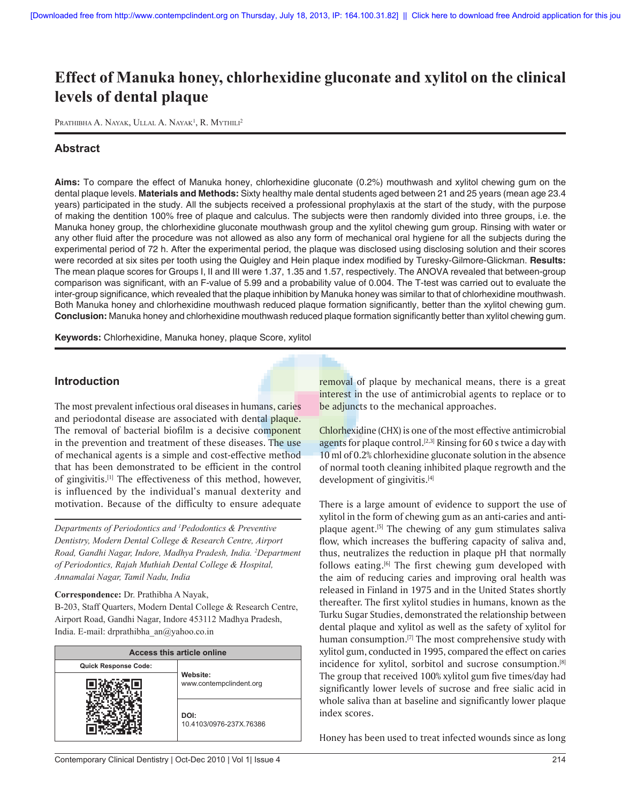# **Effect of Manuka honey, chlorhexidine gluconate and xylitol on the clinical levels of dental plaque**

PRATHIBHA A. NAYAK, ULLAL A. NAYAK<sup>1</sup>, R. MYTHILI<sup>2</sup>

# **Abstract**

**Aims:** To compare the effect of Manuka honey, chlorhexidine gluconate (0.2%) mouthwash and xylitol chewing gum on the dental plaque levels. **Materials and Methods:** Sixty healthy male dental students aged between 21 and 25 years (mean age 23.4 years) participated in the study. All the subjects received a professional prophylaxis at the start of the study, with the purpose of making the dentition 100% free of plaque and calculus. The subjects were then randomly divided into three groups, i.e. the Manuka honey group, the chlorhexidine gluconate mouthwash group and the xylitol chewing gum group. Rinsing with water or any other fluid after the procedure was not allowed as also any form of mechanical oral hygiene for all the subjects during the experimental period of 72 h. After the experimental period, the plaque was disclosed using disclosing solution and their scores were recorded at six sites per tooth using the Quigley and Hein plaque index modified by Turesky-Gilmore-Glickman. **Results:** The mean plaque scores for Groups I, II and III were 1.37, 1.35 and 1.57, respectively. The ANOVA revealed that between-group comparison was significant, with an F-value of 5.99 and a probability value of 0.004. The T-test was carried out to evaluate the inter-group significance, which revealed that the plaque inhibition by Manuka honey was similar to that of chlorhexidine mouthwash. Both Manuka honey and chlorhexidine mouthwash reduced plaque formation significantly, better than the xylitol chewing gum. **Conclusion:** Manuka honey and chlorhexidine mouthwash reduced plaque formation significantly better than xylitol chewing gum.

**Keywords:** Chlorhexidine, Manuka honey, plaque Score, xylitol

## **Introduction**

The most prevalent infectious oral diseases in humans, caries and periodontal disease are associated with dental plaque. The removal of bacterial biofilm is a decisive component in the prevention and treatment of these diseases. The use of mechanical agents is a simple and cost-effective method that has been demonstrated to be efficient in the control of gingivitis.[1] The effectiveness of this method, however, is influenced by the individual's manual dexterity and motivation. Because of the difficulty to ensure adequate

*Departments of Periodontics and 1 Pedodontics & Preventive Dentistry, Modern Dental College & Research Centre, Airport Road, Gandhi Nagar, Indore, Madhya Pradesh, India. 2 Department of Periodontics, Rajah Muthiah Dental College & Hospital, Annamalai Nagar, Tamil Nadu, India*

#### **Correspondence:** Dr. Prathibha A Nayak,

B-203, Staff Quarters, Modern Dental College & Research Centre, Airport Road, Gandhi Nagar, Indore 453112 Madhya Pradesh, India. E-mail: drprathibha\_an@yahoo.co.in

| <b>Access this article online</b> |                                     |  |  |  |
|-----------------------------------|-------------------------------------|--|--|--|
| <b>Quick Response Code:</b>       |                                     |  |  |  |
|                                   | Website:<br>www.contempclindent.org |  |  |  |
|                                   | DOI:<br>10.4103/0976-237X.76386     |  |  |  |

removal of plaque by mechanical means, there is a great interest in the use of antimicrobial agents to replace or to be adjuncts to the mechanical approaches.

Chlorhexidine (CHX) is one of the most effective antimicrobial agents for plaque control.<sup>[2,3]</sup> Rinsing for 60 s twice a day with 10 ml of 0.2% chlorhexidine gluconate solution in the absence of normal tooth cleaning inhibited plaque regrowth and the development of gingivitis.<sup>[4]</sup>

There is a large amount of evidence to support the use of xylitol in the form of chewing gum as an anti-caries and antiplaque agent.<sup>[5]</sup> The chewing of any gum stimulates saliva flow, which increases the buffering capacity of saliva and, thus, neutralizes the reduction in plaque pH that normally follows eating.<sup>[6]</sup> The first chewing gum developed with the aim of reducing caries and improving oral health was released in Finland in 1975 and in the United States shortly thereafter. The first xylitol studies in humans, known as the Turku Sugar Studies, demonstrated the relationship between dental plaque and xylitol as well as the safety of xylitol for human consumption.<sup>[7]</sup> The most comprehensive study with xylitol gum, conducted in 1995, compared the effect on caries incidence for xylitol, sorbitol and sucrose consumption.[8] The group that received 100% xylitol gum five times/day had significantly lower levels of sucrose and free sialic acid in whole saliva than at baseline and significantly lower plaque index scores.

Honey has been used to treat infected wounds since as long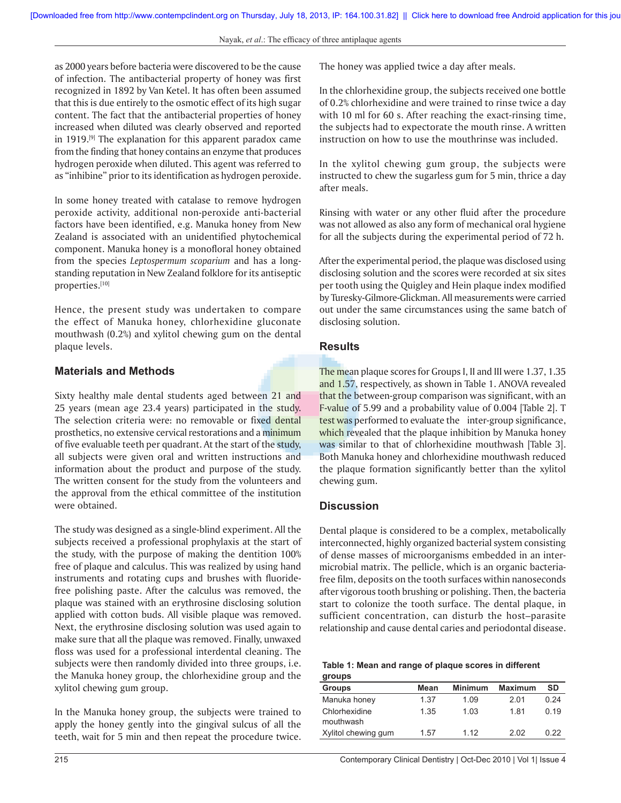as 2000 years before bacteria were discovered to be the cause of infection. The antibacterial property of honey was first recognized in 1892 by Van Ketel. It has often been assumed that this is due entirely to the osmotic effect of its high sugar content. The fact that the antibacterial properties of honey increased when diluted was clearly observed and reported in 1919.<sup>[9]</sup> The explanation for this apparent paradox came from the finding that honey contains an enzyme that produces hydrogen peroxide when diluted. This agent was referred to as "inhibine" prior to its identification as hydrogen peroxide.

In some honey treated with catalase to remove hydrogen peroxide activity, additional non-peroxide anti-bacterial factors have been identified, e.g. Manuka honey from New Zealand is associated with an unidentified phytochemical component. Manuka honey is a monofloral honey obtained from the species *Leptospermum scoparium* and has a longstanding reputation in New Zealand folklore for its antiseptic properties.[10]

Hence, the present study was undertaken to compare the effect of Manuka honey, chlorhexidine gluconate mouthwash (0.2%) and xylitol chewing gum on the dental plaque levels.

## **Materials and Methods**

Sixty healthy male dental students aged between 21 and 25 years (mean age 23.4 years) participated in the study. The selection criteria were: no removable or fixed dental prosthetics, no extensive cervical restorations and a minimum of five evaluable teeth per quadrant. At the start of the study, all subjects were given oral and written instructions and information about the product and purpose of the study. The written consent for the study from the volunteers and the approval from the ethical committee of the institution were obtained.

The study was designed as a single-blind experiment. All the subjects received a professional prophylaxis at the start of the study, with the purpose of making the dentition 100% free of plaque and calculus. This was realized by using hand instruments and rotating cups and brushes with fluoridefree polishing paste. After the calculus was removed, the plaque was stained with an erythrosine disclosing solution applied with cotton buds. All visible plaque was removed. Next, the erythrosine disclosing solution was used again to make sure that all the plaque was removed. Finally, unwaxed floss was used for a professional interdental cleaning. The subjects were then randomly divided into three groups, i.e. the Manuka honey group, the chlorhexidine group and the xylitol chewing gum group.

In the Manuka honey group, the subjects were trained to apply the honey gently into the gingival sulcus of all the teeth, wait for 5 min and then repeat the procedure twice. The honey was applied twice a day after meals.

In the chlorhexidine group, the subjects received one bottle of 0.2% chlorhexidine and were trained to rinse twice a day with 10 ml for 60 s. After reaching the exact-rinsing time, the subjects had to expectorate the mouth rinse. A written instruction on how to use the mouthrinse was included.

In the xylitol chewing gum group, the subjects were instructed to chew the sugarless gum for 5 min, thrice a day after meals.

Rinsing with water or any other fluid after the procedure was not allowed as also any form of mechanical oral hygiene for all the subjects during the experimental period of 72 h.

After the experimental period, the plaque was disclosed using disclosing solution and the scores were recorded at six sites per tooth using the Quigley and Hein plaque index modified by Turesky-Gilmore-Glickman. All measurements were carried out under the same circumstances using the same batch of disclosing solution.

## **Results**

The mean plaque scores for Groups I, II and III were 1.37, 1.35 and 1.57, respectively, as shown in Table 1. ANOVA revealed that the between-group comparison was significant, with an F-value of 5.99 and a probability value of 0.004 [Table 2]. T test was performed to evaluate the inter-group significance, which revealed that the plaque inhibition by Manuka honey was similar to that of chlorhexidine mouthwash [Table 3]. Both Manuka honey and chlorhexidine mouthwash reduced the plaque formation significantly better than the xylitol chewing gum.

### **Discussion**

Dental plaque is considered to be a complex, metabolically interconnected, highly organized bacterial system consisting of dense masses of microorganisms embedded in an intermicrobial matrix. The pellicle, which is an organic bacteriafree film, deposits on the tooth surfaces within nanoseconds after vigorous tooth brushing or polishing. Then, the bacteria start to colonize the tooth surface. The dental plaque, in sufficient concentration, can disturb the host–parasite relationship and cause dental caries and periodontal disease.

| Table 1: Mean and range of plaque scores in different |  |
|-------------------------------------------------------|--|
| groups                                                |  |

| <b>Groups</b>              | Mean | <b>Minimum</b> | <b>Maximum</b> | <b>SD</b> |
|----------------------------|------|----------------|----------------|-----------|
| Manuka honey               | 1.37 | 1.09           | 2.01           | 0.24      |
| Chlorhexidine<br>mouthwash | 1.35 | 1.03           | 181            | 0.19      |
| Xylitol chewing gum        | 1.57 | 1 1 2          | 2.02           | 0.22      |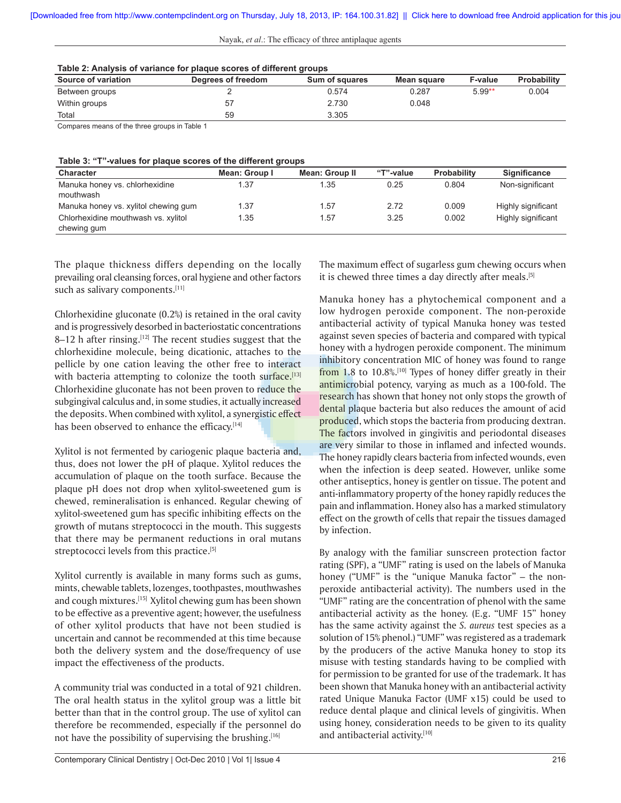|  |  | Nayak, et al.: The efficacy of three antiplaque agents |  |
|--|--|--------------------------------------------------------|--|
|  |  |                                                        |  |

| Table 2: Analysis of variance for plaque scores of different groups |                    |                |             |                |                    |  |
|---------------------------------------------------------------------|--------------------|----------------|-------------|----------------|--------------------|--|
| Source of variation                                                 | Degrees of freedom | Sum of squares | Mean square | <b>F-value</b> | <b>Probability</b> |  |
| Between groups                                                      |                    | 0.574          | 0.287       | $5.99**$       | 0.004              |  |
| Within groups                                                       | 57                 | 2.730          | 0.048       |                |                    |  |
| Total                                                               | 59                 | 3.305          |             |                |                    |  |
| $-1$<br>$\sim$ $\sim$                                               | _                  |                |             |                |                    |  |

Compares means of the three groups in Table 1

| Table 3: "T"-values for plaque scores of the different groups |  |  |  |
|---------------------------------------------------------------|--|--|--|
|---------------------------------------------------------------|--|--|--|

|                                      | . .           |                       |           |                    |                     |
|--------------------------------------|---------------|-----------------------|-----------|--------------------|---------------------|
| <b>Character</b>                     | Mean: Group I | <b>Mean: Group II</b> | "T"-value | <b>Probability</b> | <b>Significance</b> |
| Manuka honey vs. chlorhexidine       | 1.37          | 1.35                  | 0.25      | 0.804              | Non-significant     |
| mouthwash                            |               |                       |           |                    |                     |
| Manuka honey vs. xylitol chewing gum | 1.37          | 1.57                  | 2.72      | 0.009              | Highly significant  |
| Chlorhexidine mouthwash vs. xylitol  | 1.35          | 1.57                  | 3.25      | 0.002              | Highly significant  |
| chewing gum                          |               |                       |           |                    |                     |

The plaque thickness differs depending on the locally prevailing oral cleansing forces, oral hygiene and other factors such as salivary components.[11]

Chlorhexidine gluconate (0.2%) is retained in the oral cavity and is progressively desorbed in bacteriostatic concentrations  $8-12$  h after rinsing.<sup>[12]</sup> The recent studies suggest that the chlorhexidine molecule, being dicationic, attaches to the pellicle by one cation leaving the other free to interact with bacteria attempting to colonize the tooth surface.<sup>[13]</sup> Chlorhexidine gluconate has not been proven to reduce the subgingival calculus and, in some studies, it actually increased the deposits. When combined with xylitol, a synergistic effect has been observed to enhance the efficacy.<sup>[14]</sup>

Xylitol is not fermented by cariogenic plaque bacteria and, thus, does not lower the pH of plaque. Xylitol reduces the accumulation of plaque on the tooth surface. Because the plaque pH does not drop when xylitol-sweetened gum is chewed, remineralisation is enhanced. Regular chewing of xylitol-sweetened gum has specific inhibiting effects on the growth of mutans streptococci in the mouth. This suggests that there may be permanent reductions in oral mutans streptococci levels from this practice.<sup>[5]</sup>

Xylitol currently is available in many forms such as gums, mints, chewable tablets, lozenges, toothpastes, mouthwashes and cough mixtures.[15] Xylitol chewing gum has been shown to be effective as a preventive agent; however, the usefulness of other xylitol products that have not been studied is uncertain and cannot be recommended at this time because both the delivery system and the dose/frequency of use impact the effectiveness of the products.

A community trial was conducted in a total of 921 children. The oral health status in the xylitol group was a little bit better than that in the control group. The use of xylitol can therefore be recommended, especially if the personnel do not have the possibility of supervising the brushing.<sup>[16]</sup>

The maximum effect of sugarless gum chewing occurs when it is chewed three times a day directly after meals.<sup>[5]</sup>

Manuka honey has a phytochemical component and a low hydrogen peroxide component. The non-peroxide antibacterial activity of typical Manuka honey was tested against seven species of bacteria and compared with typical honey with a hydrogen peroxide component. The minimum inhibitory concentration MIC of honey was found to range from 1.8 to  $10.8\%$ .<sup>[10]</sup> Types of honey differ greatly in their antimicrobial potency, varying as much as a 100-fold. The research has shown that honey not only stops the growth of dental plaque bacteria but also reduces the amount of acid produced, which stops the bacteria from producing dextran. The factors involved in gingivitis and periodontal diseases are very similar to those in inflamed and infected wounds. The honey rapidly clears bacteria from infected wounds, even when the infection is deep seated. However, unlike some other antiseptics, honey is gentler on tissue. The potent and anti-inflammatory property of the honey rapidly reduces the pain and inflammation. Honey also has a marked stimulatory effect on the growth of cells that repair the tissues damaged by infection.

By analogy with the familiar sunscreen protection factor rating (SPF), a "UMF" rating is used on the labels of Manuka honey ("UMF" is the "unique Manuka factor" – the nonperoxide antibacterial activity). The numbers used in the "UMF" rating are the concentration of phenol with the same antibacterial activity as the honey. (E.g. "UMF 15" honey has the same activity against the *S. aureus* test species as a solution of 15% phenol.) "UMF" was registered as a trademark by the producers of the active Manuka honey to stop its misuse with testing standards having to be complied with for permission to be granted for use of the trademark. It has been shown that Manuka honey with an antibacterial activity rated Unique Manuka Factor (UMF x15) could be used to reduce dental plaque and clinical levels of gingivitis. When using honey, consideration needs to be given to its quality and antibacterial activity.[10]